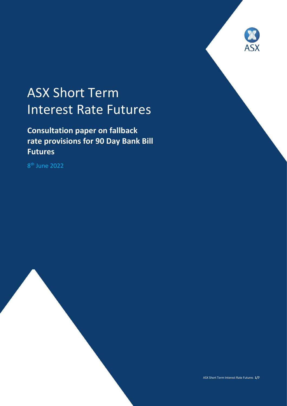

# ASX Short Term Interest Rate Futures

**Consultation paper on fallback rate provisions for 90 Day Bank Bill Futures**

8 th June 2022

ASX Short Term Interest Rate Futures **1/7**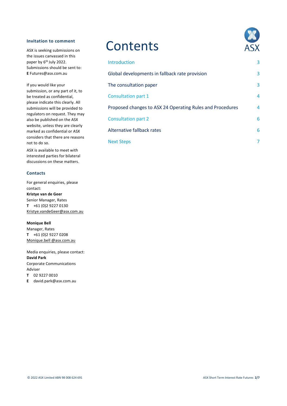#### **Invitation to comment**

ASX is seeking submissions on the issues canvassed in this paper by 6<sup>th</sup> July 2022. Submissions should be sent to: **E** Futures@asx.com.au

If you would like your submission, or any part of it, to be treated as confidential, please indicate this clearly. All submissions will be provided to regulators on request. They may also be published on the ASX website, unless they are clearly marked as confidential or ASX considers that there are reasons not to do so.

ASX is available to meet with interested parties for bilateral discussions on these matters.

#### **Contacts**

For general enquiries, please contact: **Kristye van de Geer** Senior Manager, Rates **T** +61 (0)2 9227 0130 [Kristye.vandeGeer@asx.com.au](mailto:Kristye.vandeGeer@asx.com.au)

#### **Monique Bell**

Manager, Rates **T** +61 (0)2 9227 0208 [Monique.bell @asx.com.au](mailto:EKristye.vandeGeer@asx.com.au)

Media enquiries, please contact: **David Park** Corporate Communications Adviser **T** 02 9227 0010

**E** david.park@asx.com.au

### **Contents**



| Introduction                                              | 3 |
|-----------------------------------------------------------|---|
| Global developments in fallback rate provision            | 3 |
| The consultation paper                                    | 3 |
| Consultation part 1                                       | 4 |
| Proposed changes to ASX 24 Operating Rules and Procedures | 4 |
| <b>Consultation part 2</b>                                | 6 |
| Alternative fallback rates                                | 6 |
| <b>Next Steps</b>                                         | 7 |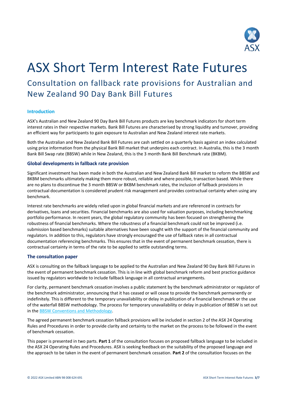

## ASX Short Term Interest Rate Futures

### Consultation on fallback rate provisions for Australian and New Zealand 90 Day Bank Bill Futures

#### **Introduction**

ASX's Australian and New Zealand 90 Day Bank Bill Futures products are key benchmark indicators for short term interest rates in their respective markets. Bank Bill Futures are characterised by strong liquidity and turnover, providing an efficient way for participants to gain exposure to Australian and New Zealand interest rate markets.

Both the Australian and New Zealand Bank Bill Futures are cash settled on a quarterly basis against an index calculated using price information from the physical Bank Bill market that underpins each contract. In Australia, this is the 3 month Bank Bill Swap rate (BBSW) while in New Zealand, this is the 3 month Bank Bill Benchmark rate (BKBM).

#### **Global developments in fallback rate provision**

Significant investment has been made in both the Australian and New Zealand Bank Bill market to reform the BBSW and BKBM benchmarks ultimately making them more robust, reliable and where possible, transaction based. While there are no plans to discontinue the 3 month BBSW or BKBM benchmark rates, the inclusion of fallback provisions in contractual documentation is considered prudent risk management and provides contractual certainty when using any benchmark.

Interest rate benchmarks are widely relied upon in global financial markets and are referenced in contracts for derivatives, loans and securities. Financial benchmarks are also used for valuation purposes, including benchmarking portfolio performance. In recent years, the global regulatory community has been focused on strengthening the robustness of financial benchmarks. Where the robustness of a financial benchmark could not be improved (i.e. submission based benchmarks) suitable alternatives have been sought with the support of the financial community and regulators. In addition to this, regulators have strongly encouraged the use of fallback rates in all contractual documentation referencing benchmarks. This ensures that in the event of permanent benchmark cessation, there is contractual certainty in terms of the rate to be applied to settle outstanding terms.

#### **The consultation paper**

ASX is consulting on the fallback language to be applied to the Australian and New Zealand 90 Day Bank Bill Futures in the event of permanent benchmark cessation. This is in line with global benchmark reform and best practice guidance issued by regulators worldwide to include fallback language in all contractual arrangements.

For clarity, permanent benchmark cessation involves a public statement by the benchmark administrator or regulator of the benchmark administrator, announcing that it has ceased or will cease to provide the benchmark permanently or indefinitely. This is different to the temporary unavailability or delay in publication of a financial benchmark or the use of the waterfall BBSW methodology. The process for temporary unavailability or delay in publication of BBSW is set out in the [BBSW Conventions and Methodology.](https://www2.asx.com.au/content/dam/asx/benchmarks/asx-bbsw-conventions.pdf) 

The agreed permanent benchmark cessation fallback provisions will be included in section 2 of the ASX 24 Operating Rules and Procedures in order to provide clarity and certainty to the market on the process to be followed in the event of benchmark cessation.

This paper is presented in two parts. **Part 1** of the consultation focuses on proposed fallback language to be included in the ASX 24 Operating Rules and Procedures. ASX is seeking feedback on the suitability of the proposed language and the approach to be taken in the event of permanent benchmark cessation. **Part 2** of the consultation focuses on the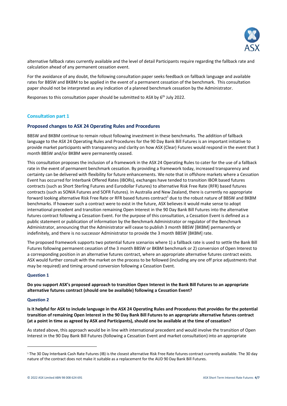

alternative fallback rates currently available and the level of detail Participants require regarding the fallback rate and calculation ahead of any permanent cessation event.

For the avoidance of any doubt, the following consultation paper seeks feedback on fallback language and available rates for BBSW and BKBM to be applied in the event of a permanent cessation of the benchmark. This consultation paper should not be interpreted as any indication of a planned benchmark cessation by the Administrator.

Responses to this consultation paper should be submitted to ASX by 6<sup>th</sup> July 2022.

#### **Consultation part 1**

#### **Proposed changes to ASX 24 Operating Rules and Procedures**

BBSW and BKBM continue to remain robust following investment in these benchmarks. The addition of fallback language to the ASX 24 Operating Rules and Procedures for the 90 Day Bank Bill Futures is an important initiative to provide market participants with transparency and clarity on how ASX (Clear) Futures would respond in the event that 3 month BBSW and/or BKBM were permanently ceased.

This consultation proposes the inclusion of a framework in the ASX 24 Operating Rules to cater for the use of a fallback rate in the event of permanent benchmark cessation. By providing a framework today, increased transparency and certainty can be delivered with flexibility for future enhancements. We note that in offshore markets where a Cessation Event has occurred for Interbank Offered Rates (IBORs), exchanges have tended to transition IBOR based futures contracts (such as Short Sterling Futures and Eurodollar Futures) to alternative Risk Free Rate (RFR) based futures contracts (such as SONIA Futures and SOFR Futures). In Australia and New Zealand, there is currently no appropriate forward looking alternative Risk Free Rate or RFR based futures contract<sup>1</sup> due to the robust nature of BBSW and BKBM benchmarks. If however such a contract were to exist in the future, ASX believes it would make sense to adopt international precedent and transition remaining Open Interest in the 90 Day Bank Bill Futures into the alternative futures contract following a Cessation Event. For the purpose of this consultation, a Cessation Event is defined as a public statement or publication of information by the Benchmark Administrator or regulator of the Benchmark Administrator, announcing that the Administrator will cease to publish 3 month BBSW [BKBM] permanently or indefinitely, and there is no successor Administrator to provide the 3 month BBSW [BKBM] rate.

The proposed framework supports two potential future scenarios where 1) a fallback rate is used to settle the Bank Bill Futures following permanent cessation of the 3 month BBSW or BKBM benchmark or 2) conversion of Open Interest to a corresponding position in an alternative futures contract, where an appropriate alternative futures contract exists. ASX would further consult with the market on the process to be followed (including any one off price adjustments that may be required) and timing around conversion following a Cessation Event.

#### **Question 1**

**Do you support ASX's proposed approach to transition Open Interest in the Bank Bill Futures to an appropriate alternative futures contract (should one be available) following a Cessation Event?**

#### **Question 2**

1

**Is it helpful for ASX to include language in the ASX 24 Operating Rules and Procedures that provides for the potential transition of remaining Open Interest in the 90 Day Bank Bill Futures to an appropriate alternative futures contract (at a point in time as agreed by ASX and Participants), should one be available at the time of cessation?**

As stated above, this approach would be in line with international precedent and would involve the transition of Open Interest in the 90 Day Bank Bill Futures (following a Cessation Event and market consultation) into an appropriate

<sup>1</sup> The 30 Day Interbank Cash Rate Futures (IB) is the closest alternative Risk Free Rate futures contract currently available. The 30 day nature of the contract does not make it suitable as a replacement for the AUD 90 Day Bank Bill Futures.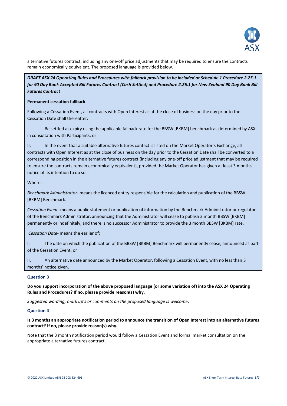

alternative futures contract, including any one-off price adjustments that may be required to ensure the contracts remain economically equivalent. The proposed language is provided below.

*DRAFT ASX 24 Operating Rules and Procedures with fallback provision to be included at Schedule 1 Procedure 2.25.1 for 90 Day Bank Accepted Bill Futures Contract (Cash Settled) and Procedure 2.26.1 for New Zealand 90 Day Bank Bill Futures Contract*

#### **Permanent cessation fallback**

Following a Cessation Event, all contracts with Open Interest as at the close of business on the day prior to the Cessation Date shall thereafter:

I. Be settled at expiry using the applicable fallback rate for the BBSW [BKBM] benchmark as determined by ASX in consultation with Participants; or

II. In the event that a suitable alternative futures contact is listed on the Market Operator's Exchange, all contracts with Open Interest as at the close of business on the day prior to the Cessation Date shall be converted to a corresponding position in the alternative futures contract (including any one-off price adjustment that may be required to ensure the contracts remain economically equivalent), provided the Market Operator has given at least 3 months' notice of its intention to do so.

#### Where:

*Benchmark Administrator*- means the licenced entity responsible for the calculation and publication of the BBSW [BKBM] Benchmark.

*Cessation Event*- means a public statement or publication of information by the Benchmark Administrator or regulator of the Benchmark Administrator, announcing that the Administrator will cease to publish 3 month BBSW [BKBM] permanently or indefinitely, and there is no successor Administrator to provide the 3 month BBSW [BKBM] rate.

*Cessation Date*- means the earlier of:

I. The date on which the publication of the BBSW [BKBM] Benchmark will permanently cease, announced as part of the Cessation Event; or

II. An alternative date announced by the Market Operator, following a Cessation Event, with no less than 3 months' notice given.

#### **Question 3**

**Do you support incorporation of the above proposed language (or some variation of) into the ASX 24 Operating Rules and Procedures? If no, please provide reason(s) why**.

*Suggested wording, mark up's or comments on the proposed language is welcome*.

#### **Question 4**

#### **Is 3 months an appropriate notification period to announce the transition of Open Interest into an alternative futures contract? If no, please provide reason(s) why.**

Note that the 3 month notification period would follow a Cessation Event and formal market consultation on the appropriate alternative futures contract.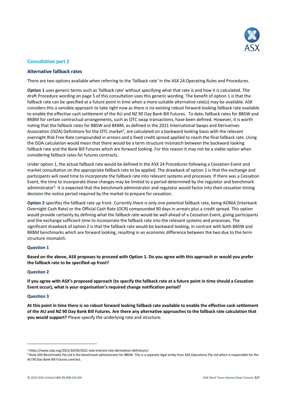

#### **Consultation part 2**

#### **Alternative fallback rates**

There are two options available when referring to the 'fallback rate' in the ASX 24 Operating Rules and Procedures.

**Option 1** uses generic terms such as 'fallback rate' without specifying what that rate is and how it is calculated. The draft Procedure wording on page 5 of this consultation uses this generic wording. The benefit of option 1 is that the fallback rate can be specified at a future point in time when a more suitable alternative rate(s) may be available. ASX considers this a sensible approach to take right now as there is no existing robust forward-looking fallback rate available to enable the effective cash settlement of the AU and NZ 90 Day Bank Bill Futures. To date, fallback rates for BBSW and BKBM for certain contractual arrangements, such as OTC swap transactions, have been defined. However, it is worth noting that the fallback rates for BBSW and BKBM, as defined in the 2021 International Swaps and Derivatives Association (ISDA) Definitions for the OTC market<sup>2</sup>, are calculated on a backward looking basis with the relevant overnight Risk Free Rate compounded in arrears and a fixed credit spread applied to reach the final fallback rate. Using the ISDA calculation would mean that there would be a term structure mismatch between the backward looking fallback rate and the Bank Bill Futures which are forward looking. For this reason it may not be a viable option when considering fallback rates for futures contracts.

Under option 1, the actual fallback rate would be defined in the ASX 24 Procedures following a Cessation Event and market consultation on the appropriate fallback rate to be applied. The drawback of option 1 is that the exchange and participants will need time to incorporate the fallback rate into relevant systems and processes. If there was a Cessation Event, the time to incorporate these changes may be limited to a period determined by the regulator and benchmark administrator<sup>3</sup>. It is expected that the benchmark administrator and regulator would factor into their cessation timing decision the notice period required by the market to prepare for cessation.

**Option 2** specifies the fallback rate up front. Currently there is only one potential fallback rate, being AONIA (Interbank Overnight Cash Rate) or the Official Cash Rate (OCR) compounded 90 days in arrears plus a credit spread. This option would provide certainty by defining what the fallback rate would be well ahead of a Cessation Event, giving participants and the exchange sufficient time to incorporate the fallback rate into the relevant systems and processes. The significant drawback of option 2 is that the fallback rate would be backward looking, in contrast with both BBSW and BKBM benchmarks which are forward looking, resulting in an economic difference between the two due to the term structure mismatch.

#### **Question 1**

**Based on the above, ASX proposes to proceed with Option 1. Do you agree with this approach or would you prefer the fallback rate to be specified up front?**

#### **Question 2**

**If you agree with ASX's proposed approach (to specify the fallback rate at a future point in time should a Cessation Event occur), what is your organisation's required change notification period?** 

#### **Question 3**

1

**At this point in time there is no robust forward looking fallback rate available to enable the effective cash settlement of the AU and NZ 90 Day Bank Bill Futures. Are there any alternative approaches to the fallback rate calculation that you would support?** Please specify the underlying rate and structure.

<sup>2</sup> https://www.isda.org/2021/10/04/2021-isda-interest-rate-derivatives-definitions/

<sup>3</sup> Note ASX Benchmarks Pty Ltd is the benchmark administrator for BBSW. This is a separate legal entity from ASX Operations Pty Ltd which is responsible for the AU 90 Day Bank Bill Futures contract.